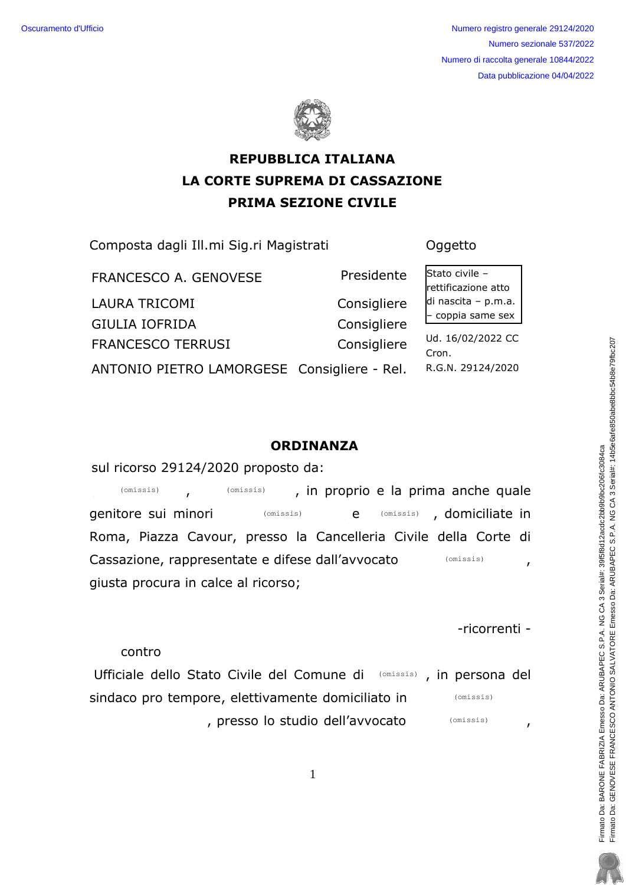Numero registro generale 29124/2020 Numero sezionale 537/2022 Numero di raccolta generale 10844/2022 Data pubblicazione 04/04/2022



# **REPUBBLICA ITALIANA LA CORTE SUPREMA DI CASSAZIONE PRIMA SEZIONE CIVILE**

Composta dagli Ill.mi Sig.ri Magistrati

Oggetto

Presidente FRANCESCO A. GENOVESE **LAURA TRICOMI** Consigliere **GIULIA IOFRIDA** Consigliere **FRANCESCO TERRUSI** Consigliere ANTONIO PIETRO LAMORGESE Consigliere - Rel. Stato civile rettificazione atto di nascita - p.m.a. coppia same sex

Ud. 16/02/2022 CC Cron. R.G.N. 29124/2020

## **ORDINANZA**

sul ricorso 29124/2020 proposto da:

, in proprio e la prima anche quale  $(omissis)$ (omissis) (omissis) , domiciliate in genitore sui minori (omissis)  $e$ Roma, Piazza Cavour, presso la Cancelleria Civile della Corte di Cassazione, rappresentate e difese dall'avvocato  $(omissis)$  $\mathbf{r}$ giusta procura in calce al ricorso;

-ricorrenti -

contro

Ufficiale dello Stato Civile del Comune di (Omissis), in persona del sindaco pro tempore, elettivamente domiciliato in (omissis) , presso lo studio dell'avvocato (omissis)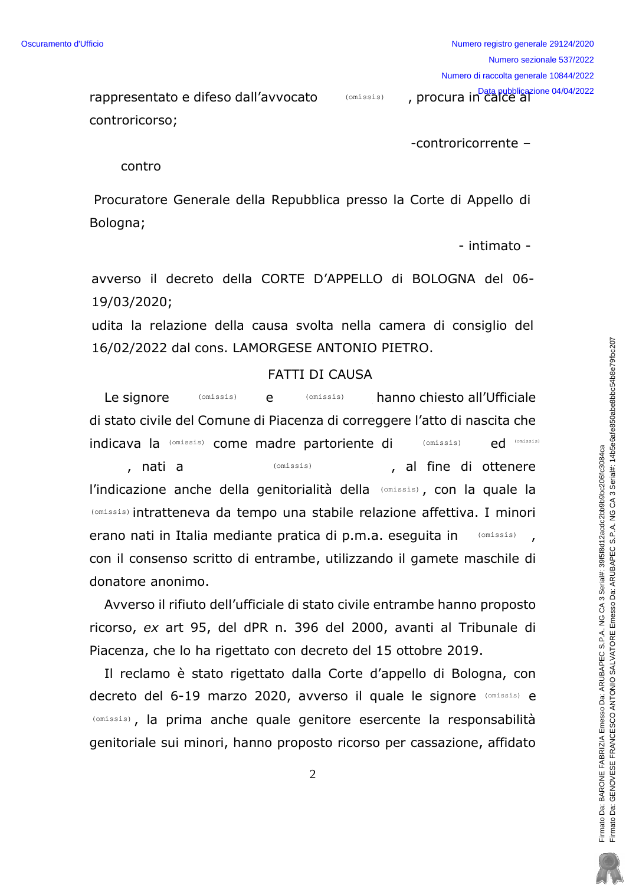rappresentato e difeso dall'avvocato controricorso; Data pubblicazione 04/04/2022 (omissis)

-controricorrente -

contro

Procuratore Generale della Repubblica presso la Corte di Appello di Bologna;

- intimato -

avverso il decreto della CORTE D'APPELLO di BOLOGNA del 06-19/03/2020;

udita la relazione della causa svolta nella camera di consiglio del 16/02/2022 dal cons. LAMORGESE ANTONIO PIETRO.

#### FATTI DI CAUSA

Le signore (omissis) e (omissis) hanno chiesto all'Ufficiale di stato civile del Comune di Piacenza di correggere l'atto di nascita che indicava la (omissis) come madre partoriente di (omissis) ed , nati a (omissis) (omissis) al fine di ottenere l'indicazione anche della genitorialità della (omissis), con la quale la (Omissis) intratteneva da tempo una stabile relazione affettiva. I minori ed (omissis) (omissis)

erano nati in Italia mediante pratica di p.m.a. eseguita in con il consenso scritto di entrambe, utilizzando il gamete maschile di donatore anonimo. (omissis)

Avverso il rifiuto dell'ufficiale di stato civile entrambe hanno proposto ricorso, ex art 95, del dPR n. 396 del 2000, avanti al Tribunale di Piacenza, che lo ha rigettato con decreto del 15 ottobre 2019.

Il reclamo è stato rigettato dalla Corte d'appello di Bologna, con decreto del 6-19 marzo 2020, avverso il quale le signore (Omissis) e (omissis), la prima anche quale genitore esercente la responsabilità genitoriale sui minori, hanno proposto ricorso per cassazione, affidato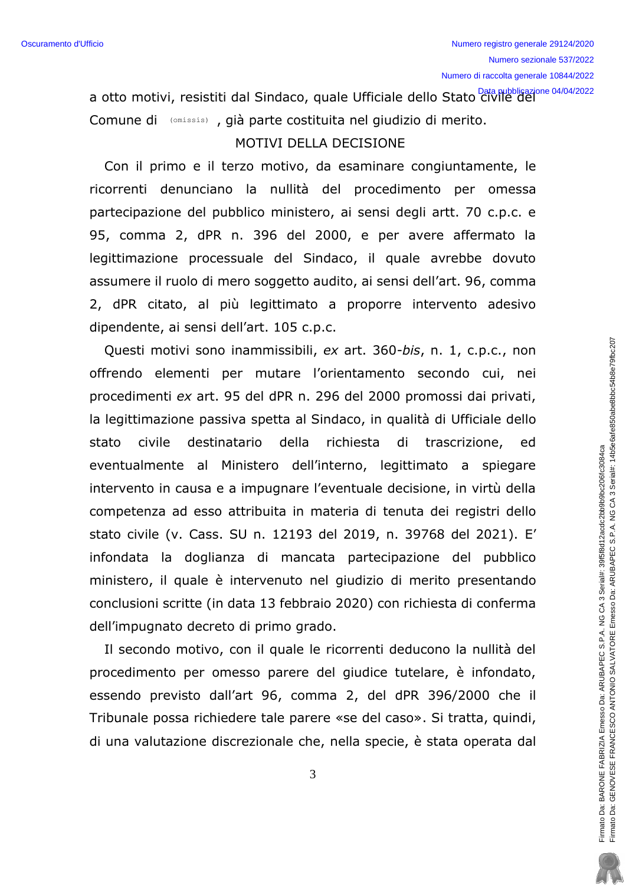a otto motivi, resistiti dal Sindaco, quale Ufficiale dello Stato civile del Comune di (omissis), già parte costituita nel giudizio di merito.

#### MOTIVI DELLA DECISIONE

Con il primo e il terzo motivo, da esaminare congiuntamente, le ricorrenti denunciano la nullità del procedimento per omessa partecipazione del pubblico ministero, ai sensi degli artt. 70 c.p.c. e 95, comma 2, dPR n. 396 del 2000, e per avere affermato la legittimazione processuale del Sindaco, il quale avrebbe dovuto assumere il ruolo di mero soggetto audito, ai sensi dell'art. 96, comma 2, dPR citato, al più legittimato a proporre intervento adesivo dipendente, ai sensi dell'art. 105 c.p.c.

Questi motivi sono inammissibili, ex art. 360-bis, n. 1, c.p.c., non offrendo elementi per mutare l'orientamento secondo cui, nei procedimenti ex art. 95 del dPR n. 296 del 2000 promossi dai privati, la legittimazione passiva spetta al Sindaco, in qualità di Ufficiale dello stato civile destinatario della richiesta di trascrizione, ed eventualmente al Ministero dell'interno, legittimato a spiegare intervento in causa e a impugnare l'eventuale decisione, in virtù della competenza ad esso attribuita in materia di tenuta dei registri dello stato civile (v. Cass. SU n. 12193 del 2019, n. 39768 del 2021). E' infondata la doglianza di mancata partecipazione del pubblico ministero, il quale è intervenuto nel giudizio di merito presentando conclusioni scritte (in data 13 febbraio 2020) con richiesta di conferma dell'impugnato decreto di primo grado.

Il secondo motivo, con il quale le ricorrenti deducono la nullità del procedimento per omesso parere del giudice tutelare, è infondato, essendo previsto dall'art 96, comma 2, del dPR 396/2000 che il Tribunale possa richiedere tale parere «se del caso». Si tratta, quindi, di una valutazione discrezionale che, nella specie, è stata operata dal

3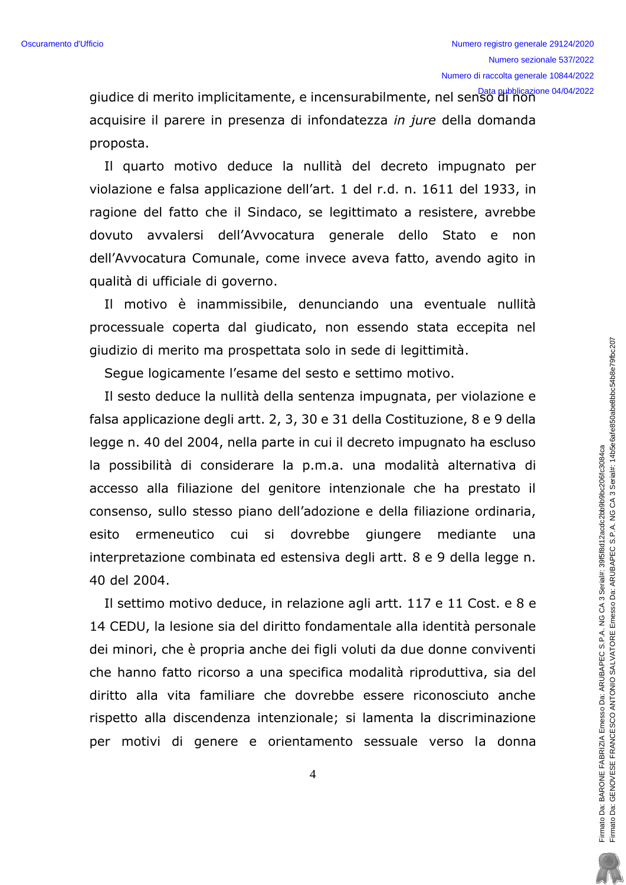giudice di merito implicitamente, e incensurabilmente, nel senso di non acquisire il parere in presenza di infondatezza in jure della domanda proposta.

Il quarto motivo deduce la nullità del decreto impugnato per violazione e falsa applicazione dell'art. 1 del r.d. n. 1611 del 1933, in ragione del fatto che il Sindaco, se legittimato a resistere, avrebbe dovuto avvalersi dell'Avvocatura generale dello Stato e non dell'Avvocatura Comunale, come invece aveva fatto, avendo agito in qualità di ufficiale di governo.

Il motivo è inammissibile, denunciando una eventuale nullità processuale coperta dal giudicato, non essendo stata eccepita nel giudizio di merito ma prospettata solo in sede di legittimità.

Seque logicamente l'esame del sesto e settimo motivo.

Il sesto deduce la nullità della sentenza impugnata, per violazione e falsa applicazione degli artt. 2, 3, 30 e 31 della Costituzione, 8 e 9 della legge n. 40 del 2004, nella parte in cui il decreto impugnato ha escluso la possibilità di considerare la p.m.a. una modalità alternativa di accesso alla filiazione del genitore intenzionale che ha prestato il consenso, sullo stesso piano dell'adozione e della filiazione ordinaria, ermeneutico cui si dovrebbe giungere mediante esito una interpretazione combinata ed estensiva degli artt. 8 e 9 della legge n. 40 del 2004.

Il settimo motivo deduce, in relazione agli artt. 117 e 11 Cost. e 8 e 14 CEDU, la lesione sia del diritto fondamentale alla identità personale dei minori, che è propria anche dei figli voluti da due donne conviventi che hanno fatto ricorso a una specifica modalità riproduttiva, sia del diritto alla vita familiare che dovrebbe essere riconosciuto anche rispetto alla discendenza intenzionale; si lamenta la discriminazione per motivi di genere e orientamento sessuale verso la donna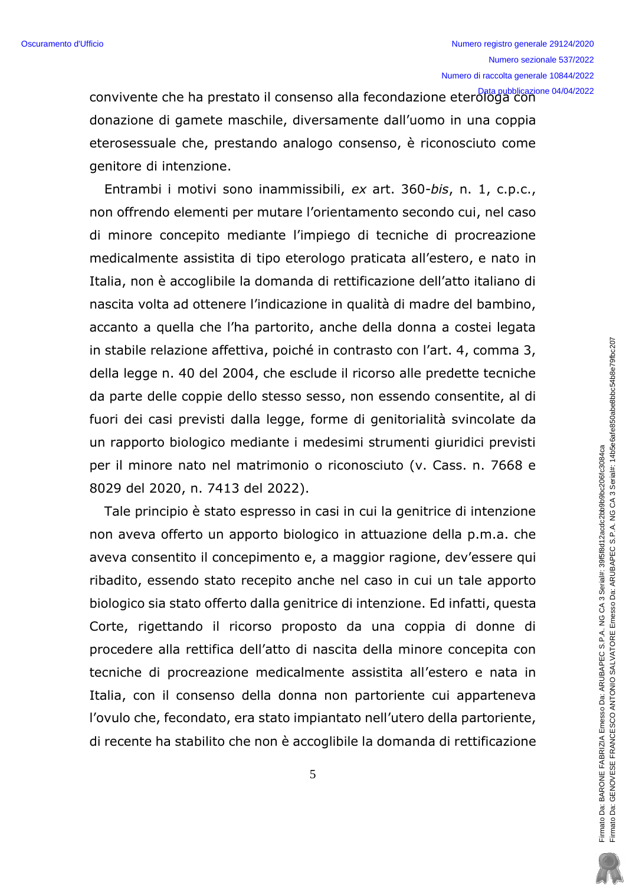convivente che ha prestato il consenso alla fecondazione eterologa con donazione di gamete maschile, diversamente dall'uomo in una coppia eterosessuale che, prestando analogo consenso, è riconosciuto come genitore di intenzione.

Entrambi i motivi sono inammissibili, ex art. 360-bis, n. 1, c.p.c., non offrendo elementi per mutare l'orientamento secondo cui, nel caso di minore concepito mediante l'impiego di tecniche di procreazione medicalmente assistita di tipo eterologo praticata all'estero, e nato in Italia, non è accoglibile la domanda di rettificazione dell'atto italiano di nascita volta ad ottenere l'indicazione in qualità di madre del bambino, accanto a quella che l'ha partorito, anche della donna a costei legata in stabile relazione affettiva, poiché in contrasto con l'art. 4, comma 3, della legge n. 40 del 2004, che esclude il ricorso alle predette tecniche da parte delle coppie dello stesso sesso, non essendo consentite, al di fuori dei casi previsti dalla legge, forme di genitorialità svincolate da un rapporto biologico mediante i medesimi strumenti giuridici previsti per il minore nato nel matrimonio o riconosciuto (v. Cass. n. 7668 e 8029 del 2020, n. 7413 del 2022).

Tale principio è stato espresso in casi in cui la genitrice di intenzione non aveva offerto un apporto biologico in attuazione della p.m.a. che aveva consentito il concepimento e, a maggior ragione, dev'essere qui ribadito, essendo stato recepito anche nel caso in cui un tale apporto biologico sia stato offerto dalla genitrice di intenzione. Ed infatti, questa Corte, rigettando il ricorso proposto da una coppia di donne di procedere alla rettifica dell'atto di nascita della minore concepita con tecniche di procreazione medicalmente assistita all'estero e nata in Italia, con il consenso della donna non partoriente cui apparteneva l'ovulo che, fecondato, era stato impiantato nell'utero della partoriente, di recente ha stabilito che non è accoglibile la domanda di rettificazione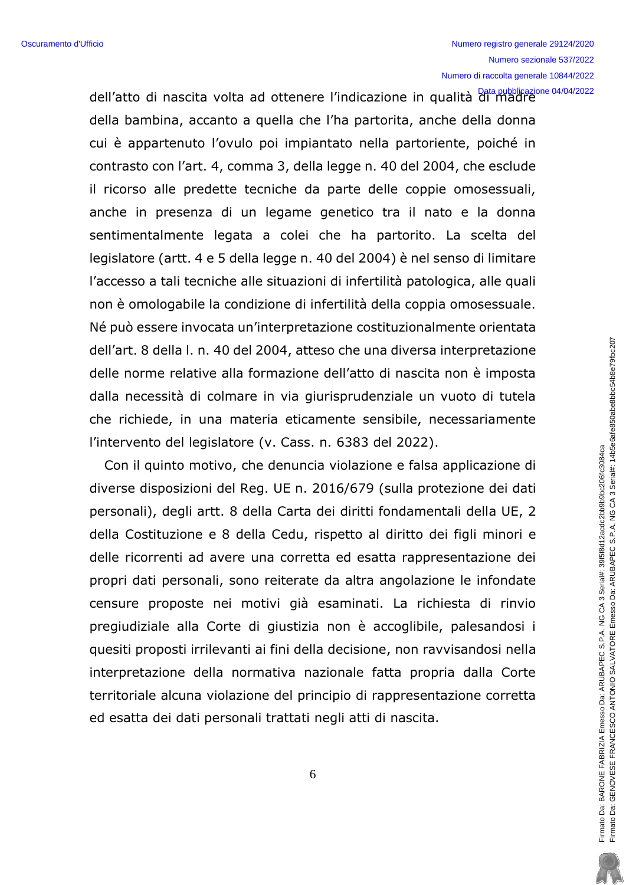dell'atto di nascita volta ad ottenere l'indicazione in qualità di madre della bambina, accanto a quella che l'ha partorita, anche della donna cui è appartenuto l'ovulo poi impiantato nella partoriente, poiché in contrasto con l'art. 4, comma 3, della legge n. 40 del 2004, che esclude il ricorso alle predette tecniche da parte delle coppie omosessuali, anche in presenza di un legame genetico tra il nato e la donna sentimentalmente legata a colei che ha partorito. La scelta del legislatore (artt. 4 e 5 della legge n. 40 del 2004) è nel senso di limitare l'accesso a tali tecniche alle situazioni di infertilità patologica, alle quali non è omologabile la condizione di infertilità della coppia omosessuale. Né può essere invocata un'interpretazione costituzionalmente orientata dell'art. 8 della I. n. 40 del 2004, atteso che una diversa interpretazione delle norme relative alla formazione dell'atto di nascita non è imposta dalla necessità di colmare in via giurisprudenziale un vuoto di tutela che richiede, in una materia eticamente sensibile, necessariamente l'intervento del legislatore (v. Cass. n. 6383 del 2022).

Con il quinto motivo, che denuncia violazione e falsa applicazione di diverse disposizioni del Reg. UE n. 2016/679 (sulla protezione dei dati personali), degli artt. 8 della Carta dei diritti fondamentali della UE, 2 della Costituzione e 8 della Cedu, rispetto al diritto dei figli minori e delle ricorrenti ad avere una corretta ed esatta rappresentazione dei propri dati personali, sono reiterate da altra angolazione le infondate censure proposte nei motivi già esaminati. La richiesta di rinvio pregiudiziale alla Corte di giustizia non è accoglibile, palesandosi i quesiti proposti irrilevanti ai fini della decisione, non ravvisandosi nella interpretazione della normativa nazionale fatta propria dalla Corte territoriale alcuna violazione del principio di rappresentazione corretta ed esatta dei dati personali trattati negli atti di nascita.

6